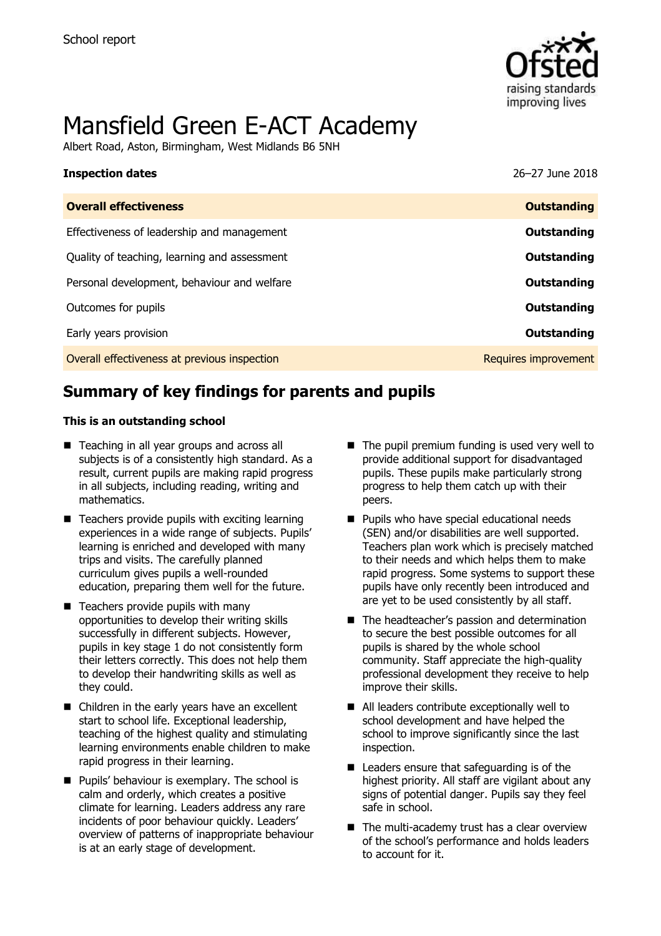

# Mansfield Green E-ACT Academy

Albert Road, Aston, Birmingham, West Midlands B6 5NH

| <b>Inspection dates</b>                      | 26-27 June 2018      |
|----------------------------------------------|----------------------|
| <b>Overall effectiveness</b>                 | <b>Outstanding</b>   |
| Effectiveness of leadership and management   | Outstanding          |
| Quality of teaching, learning and assessment | Outstanding          |
| Personal development, behaviour and welfare  | Outstanding          |
| Outcomes for pupils                          | Outstanding          |
| Early years provision                        | Outstanding          |
| Overall effectiveness at previous inspection | Requires improvement |

# **Summary of key findings for parents and pupils**

#### **This is an outstanding school**

- Teaching in all year groups and across all subjects is of a consistently high standard. As a result, current pupils are making rapid progress in all subjects, including reading, writing and mathematics.
- $\blacksquare$  Teachers provide pupils with exciting learning experiences in a wide range of subjects. Pupils' learning is enriched and developed with many trips and visits. The carefully planned curriculum gives pupils a well-rounded education, preparing them well for the future.
- Teachers provide pupils with many opportunities to develop their writing skills successfully in different subjects. However, pupils in key stage 1 do not consistently form their letters correctly. This does not help them to develop their handwriting skills as well as they could.
- Children in the early years have an excellent start to school life. Exceptional leadership, teaching of the highest quality and stimulating learning environments enable children to make rapid progress in their learning.
- **Pupils' behaviour is exemplary. The school is** calm and orderly, which creates a positive climate for learning. Leaders address any rare incidents of poor behaviour quickly. Leaders' overview of patterns of inappropriate behaviour is at an early stage of development.
- $\blacksquare$  The pupil premium funding is used very well to provide additional support for disadvantaged pupils. These pupils make particularly strong progress to help them catch up with their peers.
- **Pupils who have special educational needs** (SEN) and/or disabilities are well supported. Teachers plan work which is precisely matched to their needs and which helps them to make rapid progress. Some systems to support these pupils have only recently been introduced and are yet to be used consistently by all staff.
- The headteacher's passion and determination to secure the best possible outcomes for all pupils is shared by the whole school community. Staff appreciate the high-quality professional development they receive to help improve their skills.
- All leaders contribute exceptionally well to school development and have helped the school to improve significantly since the last inspection.
- Leaders ensure that safeguarding is of the highest priority. All staff are vigilant about any signs of potential danger. Pupils say they feel safe in school.
- $\blacksquare$  The multi-academy trust has a clear overview of the school's performance and holds leaders to account for it.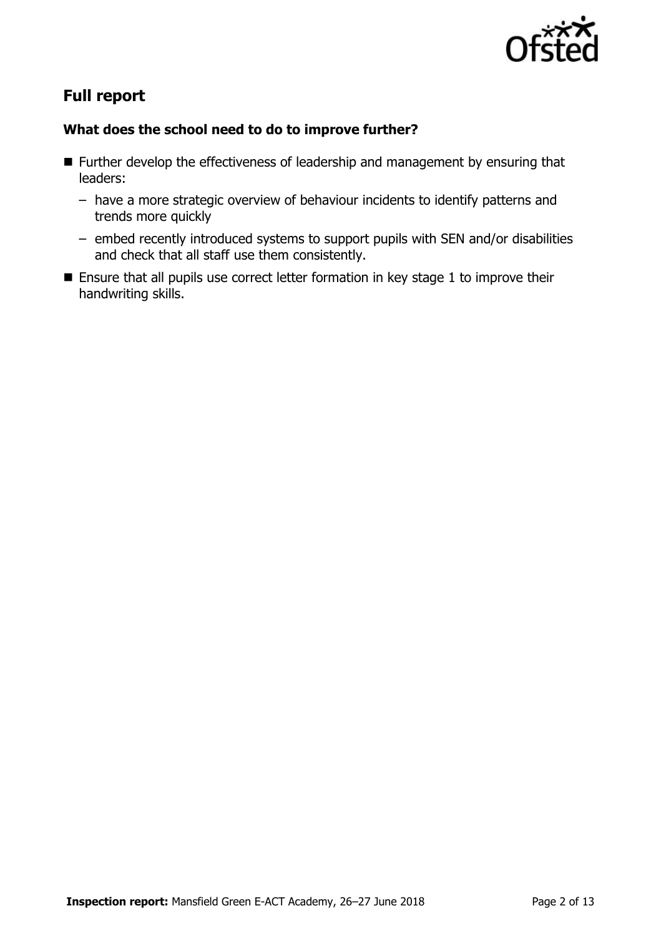

# **Full report**

### **What does the school need to do to improve further?**

- Further develop the effectiveness of leadership and management by ensuring that leaders:
	- have a more strategic overview of behaviour incidents to identify patterns and trends more quickly
	- embed recently introduced systems to support pupils with SEN and/or disabilities and check that all staff use them consistently.
- Ensure that all pupils use correct letter formation in key stage 1 to improve their handwriting skills.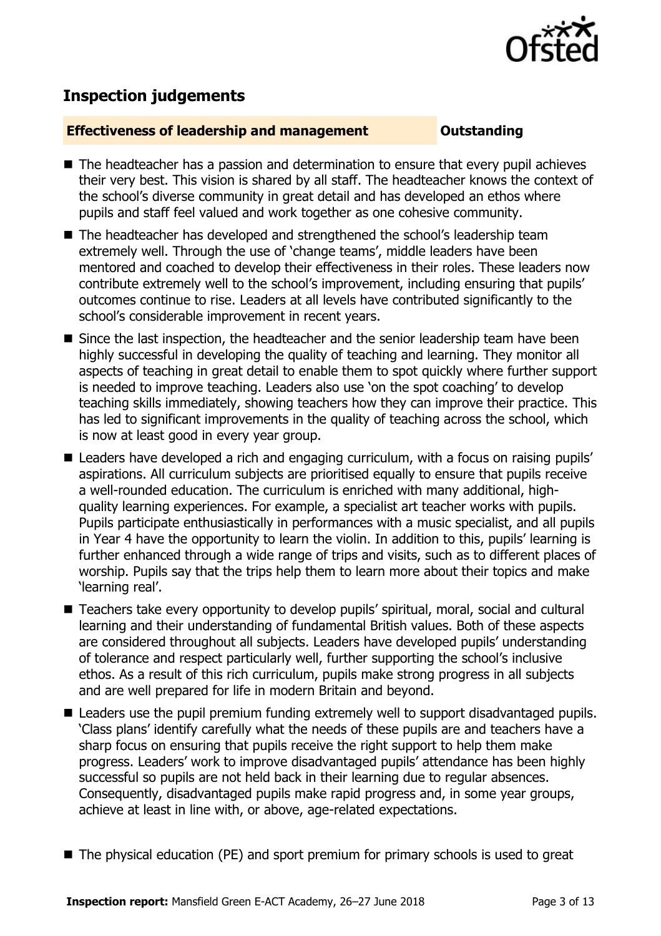

# **Inspection judgements**

#### **Effectiveness of leadership and management Constanding**

- The headteacher has a passion and determination to ensure that every pupil achieves their very best. This vision is shared by all staff. The headteacher knows the context of the school's diverse community in great detail and has developed an ethos where pupils and staff feel valued and work together as one cohesive community.
- The headteacher has developed and strengthened the school's leadership team extremely well. Through the use of 'change teams', middle leaders have been mentored and coached to develop their effectiveness in their roles. These leaders now contribute extremely well to the school's improvement, including ensuring that pupils' outcomes continue to rise. Leaders at all levels have contributed significantly to the school's considerable improvement in recent years.
- Since the last inspection, the headteacher and the senior leadership team have been highly successful in developing the quality of teaching and learning. They monitor all aspects of teaching in great detail to enable them to spot quickly where further support is needed to improve teaching. Leaders also use 'on the spot coaching' to develop teaching skills immediately, showing teachers how they can improve their practice. This has led to significant improvements in the quality of teaching across the school, which is now at least good in every year group.
- Leaders have developed a rich and engaging curriculum, with a focus on raising pupils' aspirations. All curriculum subjects are prioritised equally to ensure that pupils receive a well-rounded education. The curriculum is enriched with many additional, highquality learning experiences. For example, a specialist art teacher works with pupils. Pupils participate enthusiastically in performances with a music specialist, and all pupils in Year 4 have the opportunity to learn the violin. In addition to this, pupils' learning is further enhanced through a wide range of trips and visits, such as to different places of worship. Pupils say that the trips help them to learn more about their topics and make 'learning real'.
- Teachers take every opportunity to develop pupils' spiritual, moral, social and cultural learning and their understanding of fundamental British values. Both of these aspects are considered throughout all subjects. Leaders have developed pupils' understanding of tolerance and respect particularly well, further supporting the school's inclusive ethos. As a result of this rich curriculum, pupils make strong progress in all subjects and are well prepared for life in modern Britain and beyond.
- Leaders use the pupil premium funding extremely well to support disadvantaged pupils. 'Class plans' identify carefully what the needs of these pupils are and teachers have a sharp focus on ensuring that pupils receive the right support to help them make progress. Leaders' work to improve disadvantaged pupils' attendance has been highly successful so pupils are not held back in their learning due to regular absences. Consequently, disadvantaged pupils make rapid progress and, in some year groups, achieve at least in line with, or above, age-related expectations.
- The physical education (PE) and sport premium for primary schools is used to great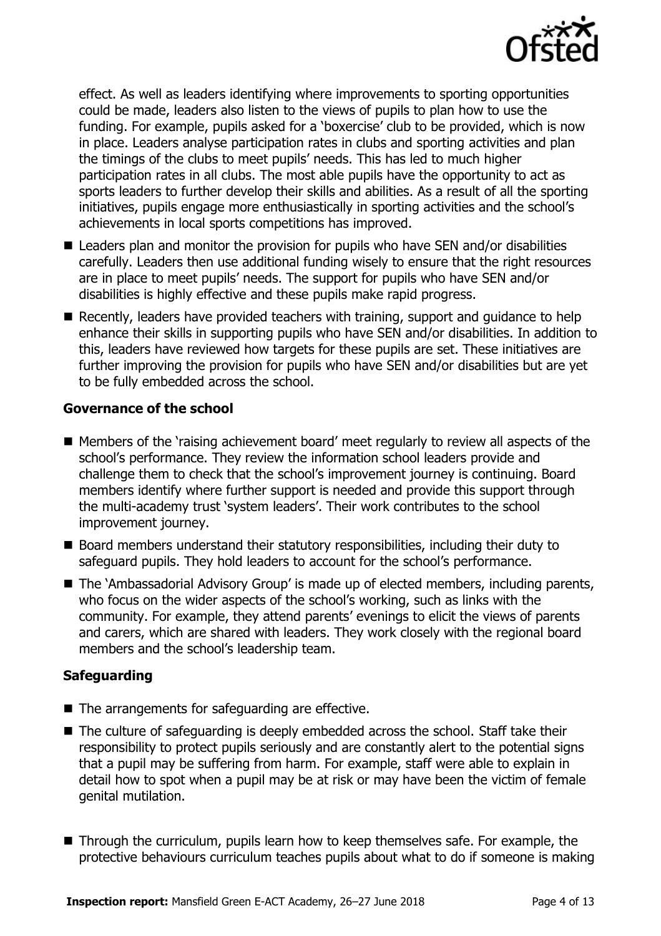

effect. As well as leaders identifying where improvements to sporting opportunities could be made, leaders also listen to the views of pupils to plan how to use the funding. For example, pupils asked for a 'boxercise' club to be provided, which is now in place. Leaders analyse participation rates in clubs and sporting activities and plan the timings of the clubs to meet pupils' needs. This has led to much higher participation rates in all clubs. The most able pupils have the opportunity to act as sports leaders to further develop their skills and abilities. As a result of all the sporting initiatives, pupils engage more enthusiastically in sporting activities and the school's achievements in local sports competitions has improved.

- Leaders plan and monitor the provision for pupils who have SEN and/or disabilities carefully. Leaders then use additional funding wisely to ensure that the right resources are in place to meet pupils' needs. The support for pupils who have SEN and/or disabilities is highly effective and these pupils make rapid progress.
- Recently, leaders have provided teachers with training, support and guidance to help enhance their skills in supporting pupils who have SEN and/or disabilities. In addition to this, leaders have reviewed how targets for these pupils are set. These initiatives are further improving the provision for pupils who have SEN and/or disabilities but are yet to be fully embedded across the school.

#### **Governance of the school**

- Members of the 'raising achievement board' meet regularly to review all aspects of the school's performance. They review the information school leaders provide and challenge them to check that the school's improvement journey is continuing. Board members identify where further support is needed and provide this support through the multi-academy trust 'system leaders'. Their work contributes to the school improvement journey.
- Board members understand their statutory responsibilities, including their duty to safeguard pupils. They hold leaders to account for the school's performance.
- The 'Ambassadorial Advisory Group' is made up of elected members, including parents, who focus on the wider aspects of the school's working, such as links with the community. For example, they attend parents' evenings to elicit the views of parents and carers, which are shared with leaders. They work closely with the regional board members and the school's leadership team.

### **Safeguarding**

- $\blacksquare$  The arrangements for safeguarding are effective.
- The culture of safeguarding is deeply embedded across the school. Staff take their responsibility to protect pupils seriously and are constantly alert to the potential signs that a pupil may be suffering from harm. For example, staff were able to explain in detail how to spot when a pupil may be at risk or may have been the victim of female genital mutilation.
- Through the curriculum, pupils learn how to keep themselves safe. For example, the protective behaviours curriculum teaches pupils about what to do if someone is making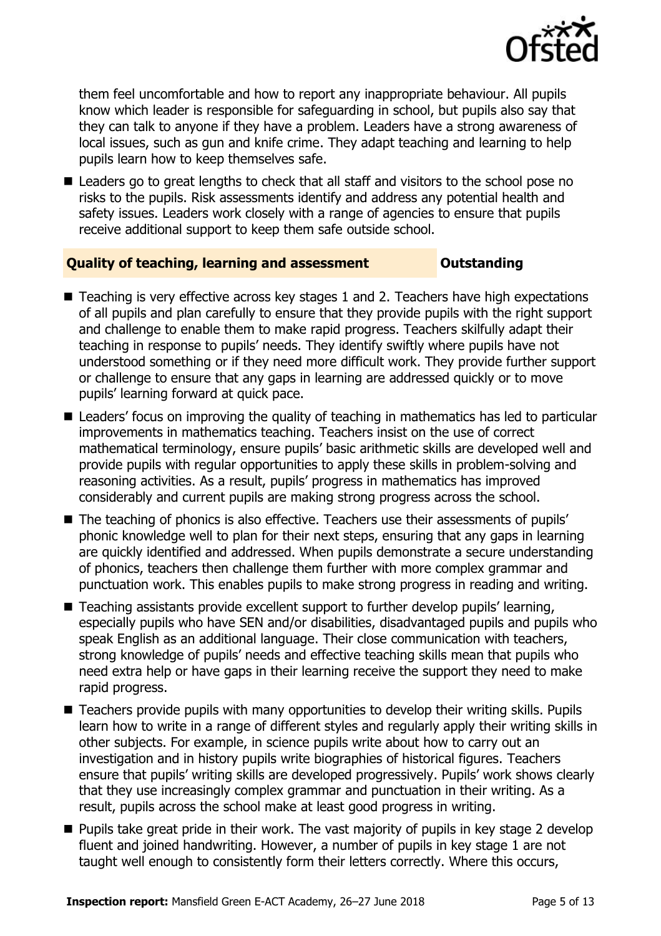

them feel uncomfortable and how to report any inappropriate behaviour. All pupils know which leader is responsible for safeguarding in school, but pupils also say that they can talk to anyone if they have a problem. Leaders have a strong awareness of local issues, such as gun and knife crime. They adapt teaching and learning to help pupils learn how to keep themselves safe.

■ Leaders go to great lengths to check that all staff and visitors to the school pose no risks to the pupils. Risk assessments identify and address any potential health and safety issues. Leaders work closely with a range of agencies to ensure that pupils receive additional support to keep them safe outside school.

### **Quality of teaching, learning and assessment Outstanding**

- Teaching is very effective across key stages 1 and 2. Teachers have high expectations of all pupils and plan carefully to ensure that they provide pupils with the right support and challenge to enable them to make rapid progress. Teachers skilfully adapt their teaching in response to pupils' needs. They identify swiftly where pupils have not understood something or if they need more difficult work. They provide further support or challenge to ensure that any gaps in learning are addressed quickly or to move pupils' learning forward at quick pace.
- Leaders' focus on improving the quality of teaching in mathematics has led to particular improvements in mathematics teaching. Teachers insist on the use of correct mathematical terminology, ensure pupils' basic arithmetic skills are developed well and provide pupils with regular opportunities to apply these skills in problem-solving and reasoning activities. As a result, pupils' progress in mathematics has improved considerably and current pupils are making strong progress across the school.
- The teaching of phonics is also effective. Teachers use their assessments of pupils' phonic knowledge well to plan for their next steps, ensuring that any gaps in learning are quickly identified and addressed. When pupils demonstrate a secure understanding of phonics, teachers then challenge them further with more complex grammar and punctuation work. This enables pupils to make strong progress in reading and writing.
- Teaching assistants provide excellent support to further develop pupils' learning, especially pupils who have SEN and/or disabilities, disadvantaged pupils and pupils who speak English as an additional language. Their close communication with teachers, strong knowledge of pupils' needs and effective teaching skills mean that pupils who need extra help or have gaps in their learning receive the support they need to make rapid progress.
- Teachers provide pupils with many opportunities to develop their writing skills. Pupils learn how to write in a range of different styles and regularly apply their writing skills in other subjects. For example, in science pupils write about how to carry out an investigation and in history pupils write biographies of historical figures. Teachers ensure that pupils' writing skills are developed progressively. Pupils' work shows clearly that they use increasingly complex grammar and punctuation in their writing. As a result, pupils across the school make at least good progress in writing.
- Pupils take great pride in their work. The vast majority of pupils in key stage 2 develop fluent and joined handwriting. However, a number of pupils in key stage 1 are not taught well enough to consistently form their letters correctly. Where this occurs,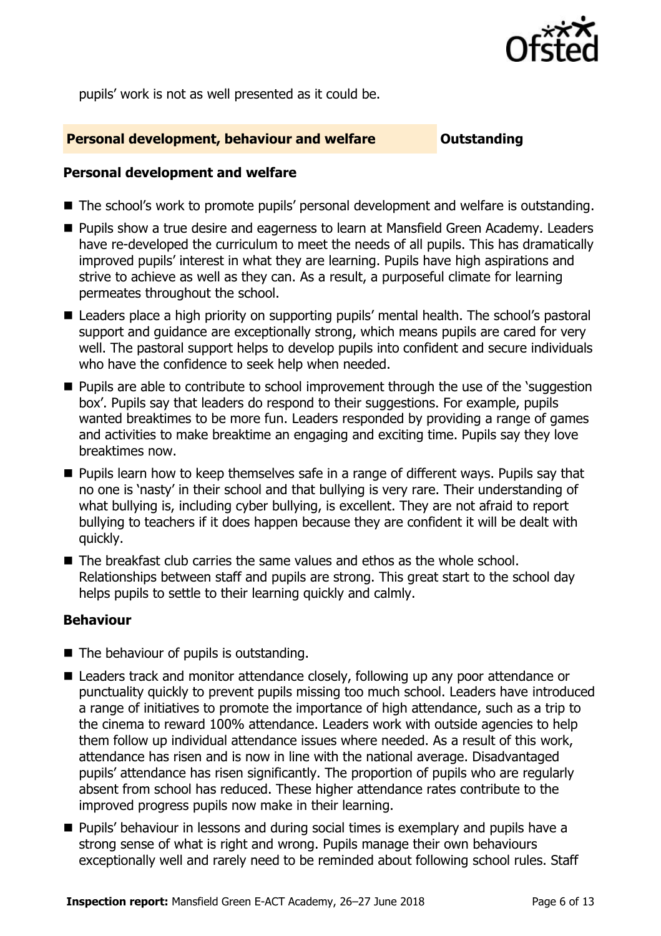

pupils' work is not as well presented as it could be.

#### **Personal development, behaviour and welfare <b>COUTS** Outstanding

#### **Personal development and welfare**

- The school's work to promote pupils' personal development and welfare is outstanding.
- Pupils show a true desire and eagerness to learn at Mansfield Green Academy. Leaders have re-developed the curriculum to meet the needs of all pupils. This has dramatically improved pupils' interest in what they are learning. Pupils have high aspirations and strive to achieve as well as they can. As a result, a purposeful climate for learning permeates throughout the school.
- Leaders place a high priority on supporting pupils' mental health. The school's pastoral support and guidance are exceptionally strong, which means pupils are cared for very well. The pastoral support helps to develop pupils into confident and secure individuals who have the confidence to seek help when needed.
- **Pupils are able to contribute to school improvement through the use of the 'suggestion'** box'. Pupils say that leaders do respond to their suggestions. For example, pupils wanted breaktimes to be more fun. Leaders responded by providing a range of games and activities to make breaktime an engaging and exciting time. Pupils say they love breaktimes now.
- **Pupils learn how to keep themselves safe in a range of different ways. Pupils say that** no one is 'nasty' in their school and that bullying is very rare. Their understanding of what bullying is, including cyber bullying, is excellent. They are not afraid to report bullying to teachers if it does happen because they are confident it will be dealt with quickly.
- The breakfast club carries the same values and ethos as the whole school. Relationships between staff and pupils are strong. This great start to the school day helps pupils to settle to their learning quickly and calmly.

#### **Behaviour**

- The behaviour of pupils is outstanding.
- Leaders track and monitor attendance closely, following up any poor attendance or punctuality quickly to prevent pupils missing too much school. Leaders have introduced a range of initiatives to promote the importance of high attendance, such as a trip to the cinema to reward 100% attendance. Leaders work with outside agencies to help them follow up individual attendance issues where needed. As a result of this work, attendance has risen and is now in line with the national average. Disadvantaged pupils' attendance has risen significantly. The proportion of pupils who are regularly absent from school has reduced. These higher attendance rates contribute to the improved progress pupils now make in their learning.
- **Pupils' behaviour in lessons and during social times is exemplary and pupils have a** strong sense of what is right and wrong. Pupils manage their own behaviours exceptionally well and rarely need to be reminded about following school rules. Staff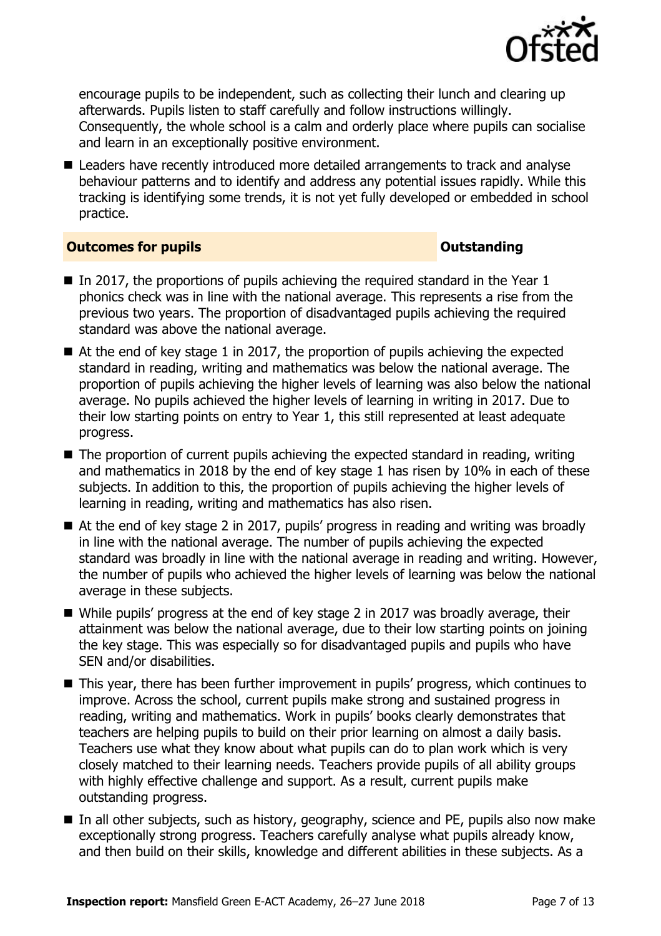

encourage pupils to be independent, such as collecting their lunch and clearing up afterwards. Pupils listen to staff carefully and follow instructions willingly. Consequently, the whole school is a calm and orderly place where pupils can socialise and learn in an exceptionally positive environment.

■ Leaders have recently introduced more detailed arrangements to track and analyse behaviour patterns and to identify and address any potential issues rapidly. While this tracking is identifying some trends, it is not yet fully developed or embedded in school practice.

### **Outcomes for pupils Outstanding**

- In 2017, the proportions of pupils achieving the required standard in the Year 1 phonics check was in line with the national average. This represents a rise from the previous two years. The proportion of disadvantaged pupils achieving the required standard was above the national average.
- $\blacksquare$  At the end of key stage 1 in 2017, the proportion of pupils achieving the expected standard in reading, writing and mathematics was below the national average. The proportion of pupils achieving the higher levels of learning was also below the national average. No pupils achieved the higher levels of learning in writing in 2017. Due to their low starting points on entry to Year 1, this still represented at least adequate progress.
- The proportion of current pupils achieving the expected standard in reading, writing and mathematics in 2018 by the end of key stage 1 has risen by 10% in each of these subjects. In addition to this, the proportion of pupils achieving the higher levels of learning in reading, writing and mathematics has also risen.
- At the end of key stage 2 in 2017, pupils' progress in reading and writing was broadly in line with the national average. The number of pupils achieving the expected standard was broadly in line with the national average in reading and writing. However, the number of pupils who achieved the higher levels of learning was below the national average in these subjects.
- While pupils' progress at the end of key stage 2 in 2017 was broadly average, their attainment was below the national average, due to their low starting points on joining the key stage. This was especially so for disadvantaged pupils and pupils who have SEN and/or disabilities.
- This year, there has been further improvement in pupils' progress, which continues to improve. Across the school, current pupils make strong and sustained progress in reading, writing and mathematics. Work in pupils' books clearly demonstrates that teachers are helping pupils to build on their prior learning on almost a daily basis. Teachers use what they know about what pupils can do to plan work which is very closely matched to their learning needs. Teachers provide pupils of all ability groups with highly effective challenge and support. As a result, current pupils make outstanding progress.
- In all other subjects, such as history, geography, science and PE, pupils also now make exceptionally strong progress. Teachers carefully analyse what pupils already know, and then build on their skills, knowledge and different abilities in these subjects. As a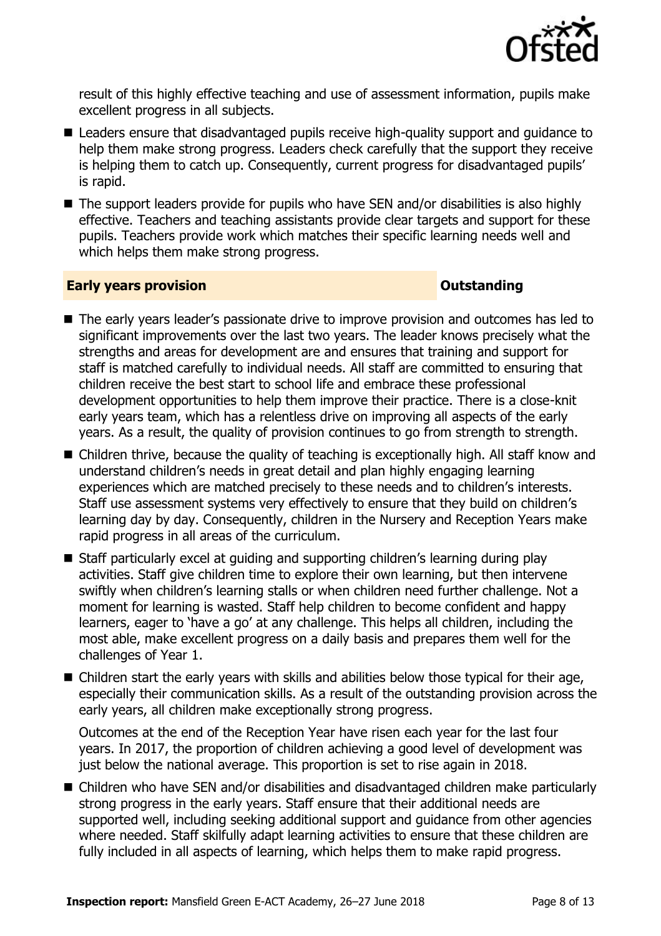

result of this highly effective teaching and use of assessment information, pupils make excellent progress in all subjects.

- Leaders ensure that disadvantaged pupils receive high-quality support and quidance to help them make strong progress. Leaders check carefully that the support they receive is helping them to catch up. Consequently, current progress for disadvantaged pupils' is rapid.
- The support leaders provide for pupils who have SEN and/or disabilities is also highly effective. Teachers and teaching assistants provide clear targets and support for these pupils. Teachers provide work which matches their specific learning needs well and which helps them make strong progress.

#### **Early years provision CONSISTER SERVISION**

- The early years leader's passionate drive to improve provision and outcomes has led to significant improvements over the last two years. The leader knows precisely what the strengths and areas for development are and ensures that training and support for staff is matched carefully to individual needs. All staff are committed to ensuring that children receive the best start to school life and embrace these professional development opportunities to help them improve their practice. There is a close-knit early years team, which has a relentless drive on improving all aspects of the early years. As a result, the quality of provision continues to go from strength to strength.
- Children thrive, because the quality of teaching is exceptionally high. All staff know and understand children's needs in great detail and plan highly engaging learning experiences which are matched precisely to these needs and to children's interests. Staff use assessment systems very effectively to ensure that they build on children's learning day by day. Consequently, children in the Nursery and Reception Years make rapid progress in all areas of the curriculum.
- Staff particularly excel at guiding and supporting children's learning during play activities. Staff give children time to explore their own learning, but then intervene swiftly when children's learning stalls or when children need further challenge. Not a moment for learning is wasted. Staff help children to become confident and happy learners, eager to 'have a go' at any challenge. This helps all children, including the most able, make excellent progress on a daily basis and prepares them well for the challenges of Year 1.
- Children start the early years with skills and abilities below those typical for their age, especially their communication skills. As a result of the outstanding provision across the early years, all children make exceptionally strong progress.

Outcomes at the end of the Reception Year have risen each year for the last four years. In 2017, the proportion of children achieving a good level of development was just below the national average. This proportion is set to rise again in 2018.

■ Children who have SEN and/or disabilities and disadvantaged children make particularly strong progress in the early years. Staff ensure that their additional needs are supported well, including seeking additional support and guidance from other agencies where needed. Staff skilfully adapt learning activities to ensure that these children are fully included in all aspects of learning, which helps them to make rapid progress.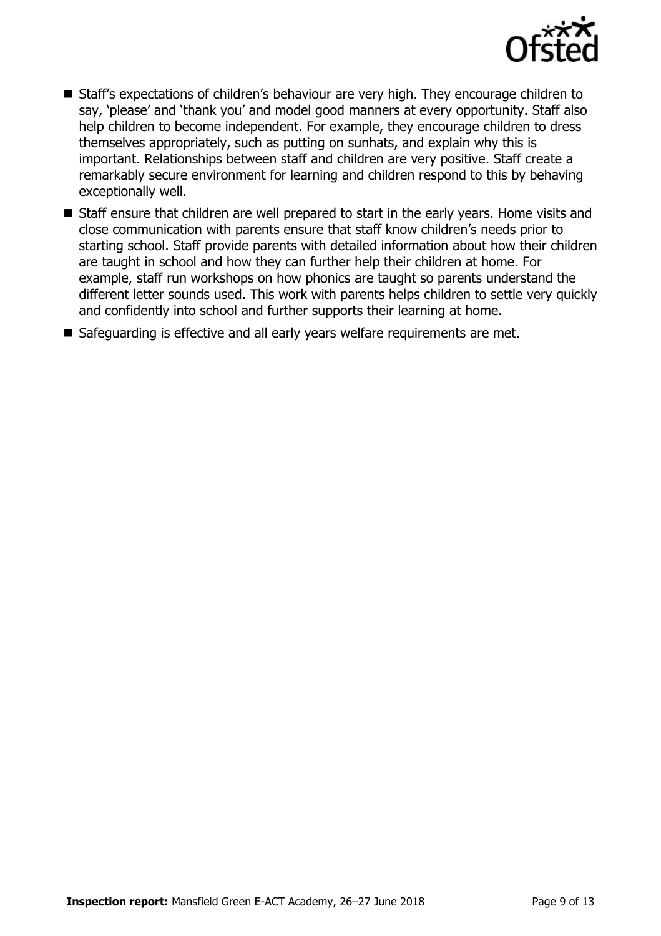

- Staff's expectations of children's behaviour are very high. They encourage children to say, 'please' and 'thank you' and model good manners at every opportunity. Staff also help children to become independent. For example, they encourage children to dress themselves appropriately, such as putting on sunhats, and explain why this is important. Relationships between staff and children are very positive. Staff create a remarkably secure environment for learning and children respond to this by behaving exceptionally well.
- Staff ensure that children are well prepared to start in the early years. Home visits and close communication with parents ensure that staff know children's needs prior to starting school. Staff provide parents with detailed information about how their children are taught in school and how they can further help their children at home. For example, staff run workshops on how phonics are taught so parents understand the different letter sounds used. This work with parents helps children to settle very quickly and confidently into school and further supports their learning at home.

Safeguarding is effective and all early years welfare requirements are met.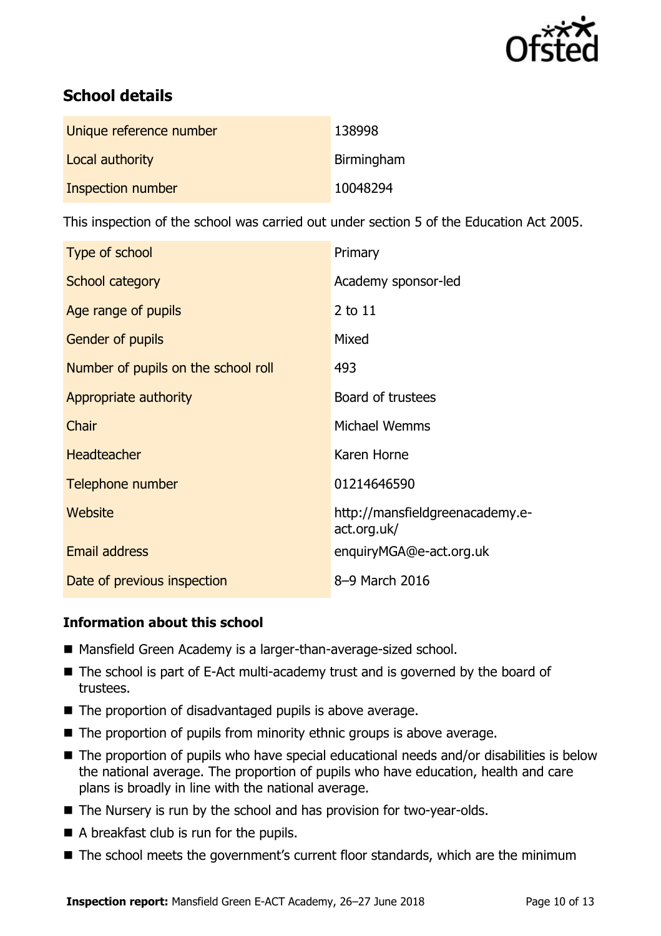

# **School details**

| Unique reference number | 138998     |
|-------------------------|------------|
| Local authority         | Birmingham |
| Inspection number       | 10048294   |

This inspection of the school was carried out under section 5 of the Education Act 2005.

| Type of school                      | Primary                                        |
|-------------------------------------|------------------------------------------------|
| School category                     | Academy sponsor-led                            |
| Age range of pupils                 | 2 to 11                                        |
| Gender of pupils                    | Mixed                                          |
| Number of pupils on the school roll | 493                                            |
| Appropriate authority               | Board of trustees                              |
| Chair                               | Michael Wemms                                  |
| <b>Headteacher</b>                  | Karen Horne                                    |
| Telephone number                    | 01214646590                                    |
| Website                             | http://mansfieldgreenacademy.e-<br>act.org.uk/ |
| <b>Email address</b>                | enquiryMGA@e-act.org.uk                        |
| Date of previous inspection         | 8-9 March 2016                                 |

### **Information about this school**

- Mansfield Green Academy is a larger-than-average-sized school.
- The school is part of E-Act multi-academy trust and is governed by the board of trustees.
- The proportion of disadvantaged pupils is above average.
- $\blacksquare$  The proportion of pupils from minority ethnic groups is above average.
- The proportion of pupils who have special educational needs and/or disabilities is below the national average. The proportion of pupils who have education, health and care plans is broadly in line with the national average.
- The Nursery is run by the school and has provision for two-year-olds.
- A breakfast club is run for the pupils.
- The school meets the government's current floor standards, which are the minimum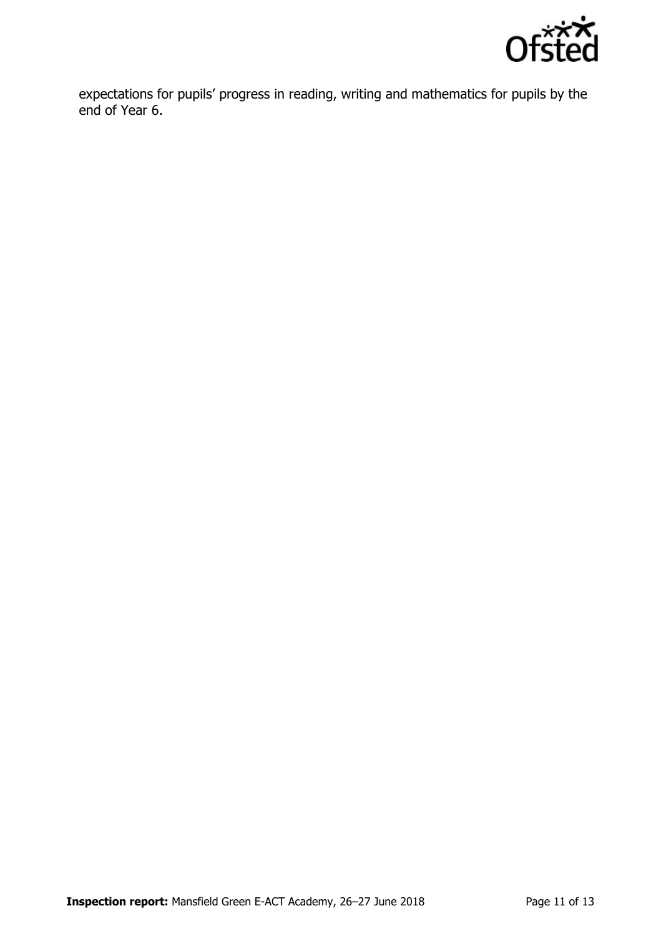

expectations for pupils' progress in reading, writing and mathematics for pupils by the end of Year 6.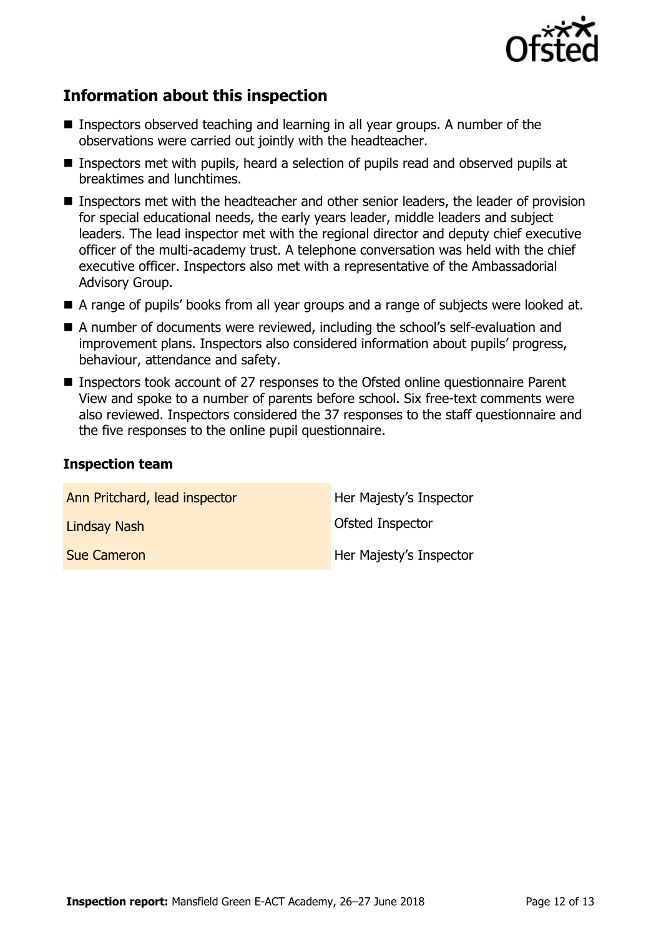

# **Information about this inspection**

- Inspectors observed teaching and learning in all year groups. A number of the observations were carried out jointly with the headteacher.
- Inspectors met with pupils, heard a selection of pupils read and observed pupils at breaktimes and lunchtimes.
- Inspectors met with the headteacher and other senior leaders, the leader of provision for special educational needs, the early years leader, middle leaders and subject leaders. The lead inspector met with the regional director and deputy chief executive officer of the multi-academy trust. A telephone conversation was held with the chief executive officer. Inspectors also met with a representative of the Ambassadorial Advisory Group.
- A range of pupils' books from all year groups and a range of subjects were looked at.
- A number of documents were reviewed, including the school's self-evaluation and improvement plans. Inspectors also considered information about pupils' progress, behaviour, attendance and safety.
- Inspectors took account of 27 responses to the Ofsted online questionnaire Parent View and spoke to a number of parents before school. Six free-text comments were also reviewed. Inspectors considered the 37 responses to the staff questionnaire and the five responses to the online pupil questionnaire.

#### **Inspection team**

| Ann Pritchard, lead inspector | Her Majesty's Inspector |
|-------------------------------|-------------------------|
| <b>Lindsay Nash</b>           | Ofsted Inspector        |
| <b>Sue Cameron</b>            | Her Majesty's Inspector |